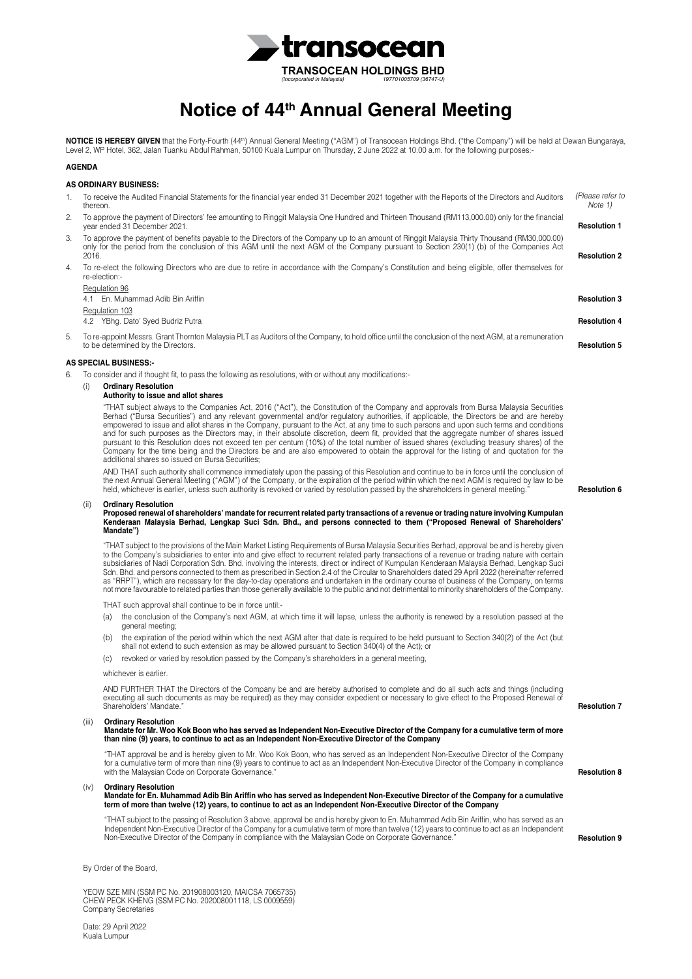

# **Notice of 44th Annual General Meeting**

**NOTICE IS HEREBY GIVEN** that the Forty-Fourth (44<sup>th</sup>) Annual General Meeting ("AGM") of Transocean Holdings Bhd. ("the Company") will be held at Dewan Bungaraya,<br>Level 2, WP Hotel, 362, Jalan Tuanku Abdul Rahman, 50100 K

### **AGENDA**

## **AS ORDINARY BUSINESS:**

| 1. | thereon.                                                                                                                                                                                   |                                                                                                                                                                                                                                                                                                                                                                                                                                                                                                                                                                                                                                                                                                                                                                                                                                                                                                                  | To receive the Audited Financial Statements for the financial year ended 31 December 2021 together with the Reports of the Directors and Auditors                                                                                                                                                                                                                                                                                | (Please refer to<br>Note 1) |  |  |
|----|--------------------------------------------------------------------------------------------------------------------------------------------------------------------------------------------|------------------------------------------------------------------------------------------------------------------------------------------------------------------------------------------------------------------------------------------------------------------------------------------------------------------------------------------------------------------------------------------------------------------------------------------------------------------------------------------------------------------------------------------------------------------------------------------------------------------------------------------------------------------------------------------------------------------------------------------------------------------------------------------------------------------------------------------------------------------------------------------------------------------|----------------------------------------------------------------------------------------------------------------------------------------------------------------------------------------------------------------------------------------------------------------------------------------------------------------------------------------------------------------------------------------------------------------------------------|-----------------------------|--|--|
| 2. |                                                                                                                                                                                            | To approve the payment of Directors' fee amounting to Ringgit Malaysia One Hundred and Thirteen Thousand (RM113,000.00) only for the financial<br>year ended 31 December 2021.                                                                                                                                                                                                                                                                                                                                                                                                                                                                                                                                                                                                                                                                                                                                   |                                                                                                                                                                                                                                                                                                                                                                                                                                  | <b>Resolution 1</b>         |  |  |
| 3. |                                                                                                                                                                                            | To approve the payment of benefits payable to the Directors of the Company up to an amount of Ringgit Malaysia Thirty Thousand (RM30,000.00)<br>only for the period from the conclusion of this AGM until the next AGM of the Company pursuant to Section 230(1) (b) of the Companies Act<br>2016.                                                                                                                                                                                                                                                                                                                                                                                                                                                                                                                                                                                                               |                                                                                                                                                                                                                                                                                                                                                                                                                                  | <b>Resolution 2</b>         |  |  |
| 4. | To re-elect the following Directors who are due to retire in accordance with the Company's Constitution and being eligible, offer themselves for<br>re-election:-                          |                                                                                                                                                                                                                                                                                                                                                                                                                                                                                                                                                                                                                                                                                                                                                                                                                                                                                                                  |                                                                                                                                                                                                                                                                                                                                                                                                                                  |                             |  |  |
|    |                                                                                                                                                                                            | Regulation 96                                                                                                                                                                                                                                                                                                                                                                                                                                                                                                                                                                                                                                                                                                                                                                                                                                                                                                    | 4.1 En. Muhammad Adib Bin Ariffin                                                                                                                                                                                                                                                                                                                                                                                                | <b>Resolution 3</b>         |  |  |
|    |                                                                                                                                                                                            | Regulation 103                                                                                                                                                                                                                                                                                                                                                                                                                                                                                                                                                                                                                                                                                                                                                                                                                                                                                                   | 4.2 YBhg. Dato' Syed Budriz Putra                                                                                                                                                                                                                                                                                                                                                                                                | <b>Resolution 4</b>         |  |  |
| 5. | To re-appoint Messrs. Grant Thornton Malaysia PLT as Auditors of the Company, to hold office until the conclusion of the next AGM, at a remuneration<br>to be determined by the Directors. |                                                                                                                                                                                                                                                                                                                                                                                                                                                                                                                                                                                                                                                                                                                                                                                                                                                                                                                  |                                                                                                                                                                                                                                                                                                                                                                                                                                  | <b>Resolution 5</b>         |  |  |
|    |                                                                                                                                                                                            |                                                                                                                                                                                                                                                                                                                                                                                                                                                                                                                                                                                                                                                                                                                                                                                                                                                                                                                  | <b>AS SPECIAL BUSINESS:-</b>                                                                                                                                                                                                                                                                                                                                                                                                     |                             |  |  |
| 6. | (i)                                                                                                                                                                                        |                                                                                                                                                                                                                                                                                                                                                                                                                                                                                                                                                                                                                                                                                                                                                                                                                                                                                                                  | To consider and if thought fit, to pass the following as resolutions, with or without any modifications:-<br><b>Ordinary Resolution</b><br>Authority to issue and allot shares                                                                                                                                                                                                                                                   |                             |  |  |
|    |                                                                                                                                                                                            | "THAT subject always to the Companies Act, 2016 ("Act"), the Constitution of the Company and approvals from Bursa Malaysia Securities<br>Berhad ("Bursa Securities") and any relevant governmental and/or regulatory authorities, if applicable, the Directors be and are hereby<br>empowered to issue and allot shares in the Company, pursuant to the Act, at any time to such persons and upon such terms and conditions<br>and for such purposes as the Directors may, in their absolute discretion, deem fit, provided that the aggregate number of shares issued<br>pursuant to this Resolution does not exceed ten per centum (10%) of the total number of issued shares (excluding treasury shares) of the<br>Company for the time being and the Directors be and are also empowered to obtain the approval for the listing of and quotation for the<br>additional shares so issued on Bursa Securities; |                                                                                                                                                                                                                                                                                                                                                                                                                                  |                             |  |  |
|    |                                                                                                                                                                                            |                                                                                                                                                                                                                                                                                                                                                                                                                                                                                                                                                                                                                                                                                                                                                                                                                                                                                                                  | AND THAT such authority shall commence immediately upon the passing of this Resolution and continue to be in force until the conclusion of<br>the next Annual General Meeting ("AGM") of the Company, or the expiration of the period within which the next AGM is required by law to be<br>held, whichever is earlier, unless such authority is revoked or varied by resolution passed by the shareholders in general meeting." | <b>Resolution 6</b>         |  |  |
|    | (ii)                                                                                                                                                                                       |                                                                                                                                                                                                                                                                                                                                                                                                                                                                                                                                                                                                                                                                                                                                                                                                                                                                                                                  | <b>Ordinary Resolution</b><br>Proposed renewal of shareholders' mandate for recurrent related party transactions of a revenue or trading nature involving Kumpulan<br>Kenderaan Malaysia Berhad, Lengkap Suci Sdn. Bhd., and persons connected to them ("Proposed Renewal of Shareholders'<br>Mandate")                                                                                                                          |                             |  |  |
|    |                                                                                                                                                                                            | "THAT subject to the provisions of the Main Market Listing Requirements of Bursa Malaysia Securities Berhad, approval be and is hereby given<br>to the Company's subsidiaries to enter into and give effect to recurrent related party transactions of a revenue or trading nature with certain<br>subsidiaries of Nadi Corporation Sdn. Bhd. involving the interests, direct or indirect of Kumpulan Kenderaan Malaysia Berhad, Lengkap Suci<br>Sdn. Bhd. and persons connected to them as prescribed in Section 2.4 of the Circular to Shareholders dated 29 April 2022 (hereinafter referred<br>as "RRPT"), which are necessary for the day-to-day operations and undertaken in the ordinary course of business of the Company, on terms<br>not more favourable to related parties than those generally available to the public and not detrimental to minority shareholders of the Company.                  |                                                                                                                                                                                                                                                                                                                                                                                                                                  |                             |  |  |
|    |                                                                                                                                                                                            |                                                                                                                                                                                                                                                                                                                                                                                                                                                                                                                                                                                                                                                                                                                                                                                                                                                                                                                  | THAT such approval shall continue to be in force until:-                                                                                                                                                                                                                                                                                                                                                                         |                             |  |  |
|    |                                                                                                                                                                                            | (a)                                                                                                                                                                                                                                                                                                                                                                                                                                                                                                                                                                                                                                                                                                                                                                                                                                                                                                              | the conclusion of the Company's next AGM, at which time it will lapse, unless the authority is renewed by a resolution passed at the<br>general meeting;                                                                                                                                                                                                                                                                         |                             |  |  |
|    |                                                                                                                                                                                            | (b)                                                                                                                                                                                                                                                                                                                                                                                                                                                                                                                                                                                                                                                                                                                                                                                                                                                                                                              | the expiration of the period within which the next AGM after that date is required to be held pursuant to Section 340(2) of the Act (but<br>shall not extend to such extension as may be allowed pursuant to Section 340(4) of the Act); or                                                                                                                                                                                      |                             |  |  |
|    |                                                                                                                                                                                            | (c)                                                                                                                                                                                                                                                                                                                                                                                                                                                                                                                                                                                                                                                                                                                                                                                                                                                                                                              | revoked or varied by resolution passed by the Company's shareholders in a general meeting.                                                                                                                                                                                                                                                                                                                                       |                             |  |  |
|    |                                                                                                                                                                                            |                                                                                                                                                                                                                                                                                                                                                                                                                                                                                                                                                                                                                                                                                                                                                                                                                                                                                                                  | whichever is earlier.                                                                                                                                                                                                                                                                                                                                                                                                            |                             |  |  |
|    |                                                                                                                                                                                            |                                                                                                                                                                                                                                                                                                                                                                                                                                                                                                                                                                                                                                                                                                                                                                                                                                                                                                                  | AND FURTHER THAT the Directors of the Company be and are hereby authorised to complete and do all such acts and things (including<br>executing all such documents as may be required) as they may consider expedient or necessary to give effect to the Proposed Renewal of<br>Shareholders' Mandate."                                                                                                                           | <b>Resolution 7</b>         |  |  |
|    | (iii)                                                                                                                                                                                      |                                                                                                                                                                                                                                                                                                                                                                                                                                                                                                                                                                                                                                                                                                                                                                                                                                                                                                                  | <b>Ordinary Resolution</b><br>Mandate for Mr. Woo Kok Boon who has served as Independent Non-Executive Director of the Company for a cumulative term of more<br>than nine (9) years, to continue to act as an Independent Non-Executive Director of the Company                                                                                                                                                                  |                             |  |  |
|    |                                                                                                                                                                                            |                                                                                                                                                                                                                                                                                                                                                                                                                                                                                                                                                                                                                                                                                                                                                                                                                                                                                                                  | "THAT approval be and is hereby given to Mr. Woo Kok Boon, who has served as an Independent Non-Executive Director of the Company<br>for a cumulative term of more than nine (9) years to continue to act as an Independent Non-Executive Director of the Company in compliance<br>with the Malaysian Code on Corporate Governance."                                                                                             | <b>Resolution 8</b>         |  |  |
|    | (iv)                                                                                                                                                                                       |                                                                                                                                                                                                                                                                                                                                                                                                                                                                                                                                                                                                                                                                                                                                                                                                                                                                                                                  | <b>Ordinary Resolution</b><br>Mandate for En. Muhammad Adib Bin Ariffin who has served as Independent Non-Executive Director of the Company for a cumulative<br>term of more than twelve (12) years, to continue to act as an Independent Non-Executive Director of the Company                                                                                                                                                  |                             |  |  |
|    |                                                                                                                                                                                            |                                                                                                                                                                                                                                                                                                                                                                                                                                                                                                                                                                                                                                                                                                                                                                                                                                                                                                                  | "THAT subject to the passing of Resolution 3 above, approval be and is hereby given to En. Muhammad Adib Bin Ariffin, who has served as an<br>Independent Non-Executive Director of the Company for a cumulative term of more than twelve (12) years to continue to act as an Independent<br>Non-Executive Director of the Company in compliance with the Malaysian Code on Corporate Governance."                               | <b>Resolution 9</b>         |  |  |

By Order of the Board,

YEOW SZE MIN (SSM PC No. 201908003120, MAICSA 7065735) CHEW PECK KHENG (SSM PC No. 202008001118, LS 0009559) Company Secretaries